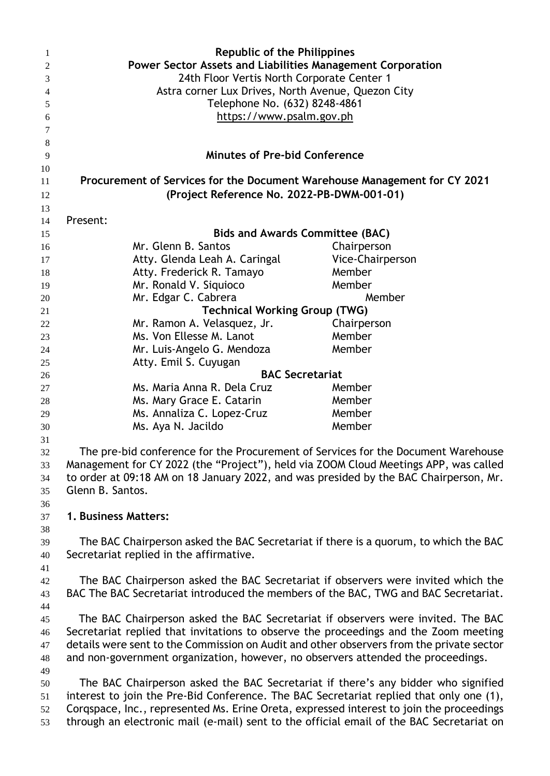| 1              | <b>Republic of the Philippines</b>                                                                                                                                                  |                  |
|----------------|-------------------------------------------------------------------------------------------------------------------------------------------------------------------------------------|------------------|
| 2              | Power Sector Assets and Liabilities Management Corporation                                                                                                                          |                  |
| 3              | 24th Floor Vertis North Corporate Center 1                                                                                                                                          |                  |
| $\overline{4}$ | Astra corner Lux Drives, North Avenue, Quezon City                                                                                                                                  |                  |
| 5              | Telephone No. (632) 8248-4861                                                                                                                                                       |                  |
| 6              | https://www.psalm.gov.ph                                                                                                                                                            |                  |
| 7              |                                                                                                                                                                                     |                  |
| 8              |                                                                                                                                                                                     |                  |
| 9              | <b>Minutes of Pre-bid Conference</b>                                                                                                                                                |                  |
| 10             |                                                                                                                                                                                     |                  |
| 11             | Procurement of Services for the Document Warehouse Management for CY 2021                                                                                                           |                  |
| 12             | (Project Reference No. 2022-PB-DWM-001-01)                                                                                                                                          |                  |
| 13             |                                                                                                                                                                                     |                  |
|                | Present:                                                                                                                                                                            |                  |
| 14             | <b>Bids and Awards Committee (BAC)</b>                                                                                                                                              |                  |
| 15             |                                                                                                                                                                                     |                  |
| 16             | Mr. Glenn B. Santos                                                                                                                                                                 | Chairperson      |
| 17             | Atty. Glenda Leah A. Caringal                                                                                                                                                       | Vice-Chairperson |
| 18             | Atty. Frederick R. Tamayo                                                                                                                                                           | Member           |
| 19             | Mr. Ronald V. Siquioco                                                                                                                                                              | Member           |
| 20             | Mr. Edgar C. Cabrera                                                                                                                                                                | Member           |
| 21             | <b>Technical Working Group (TWG)</b>                                                                                                                                                |                  |
| 22             | Mr. Ramon A. Velasquez, Jr.                                                                                                                                                         | Chairperson      |
| 23             | Ms. Von Ellesse M. Lanot                                                                                                                                                            | Member           |
| 24             | Mr. Luis-Angelo G. Mendoza                                                                                                                                                          | Member           |
| 25             | Atty. Emil S. Cuyugan                                                                                                                                                               |                  |
| 26             | <b>BAC Secretariat</b>                                                                                                                                                              |                  |
| 27             | Ms. Maria Anna R. Dela Cruz                                                                                                                                                         | Member           |
| 28             | Ms. Mary Grace E. Catarin                                                                                                                                                           | Member           |
| 29             | Ms. Annaliza C. Lopez-Cruz                                                                                                                                                          | Member           |
| 30             | Ms. Aya N. Jacildo                                                                                                                                                                  | Member           |
| 31             |                                                                                                                                                                                     |                  |
| 32             | The pre-bid conference for the Procurement of Services for the Document Warehouse                                                                                                   |                  |
| 33             | Management for CY 2022 (the "Project"), held via ZOOM Cloud Meetings APP, was called                                                                                                |                  |
| 34             | to order at 09:18 AM on 18 January 2022, and was presided by the BAC Chairperson, Mr.                                                                                               |                  |
| 35             | Glenn B. Santos.                                                                                                                                                                    |                  |
| 36             |                                                                                                                                                                                     |                  |
| 37             | 1. Business Matters:                                                                                                                                                                |                  |
| 38             |                                                                                                                                                                                     |                  |
| 39             | The BAC Chairperson asked the BAC Secretariat if there is a quorum, to which the BAC                                                                                                |                  |
| 40             | Secretariat replied in the affirmative.                                                                                                                                             |                  |
| 41             |                                                                                                                                                                                     |                  |
| 42             | The BAC Chairperson asked the BAC Secretariat if observers were invited which the                                                                                                   |                  |
| 43             | BAC The BAC Secretariat introduced the members of the BAC, TWG and BAC Secretariat.                                                                                                 |                  |
| 44             |                                                                                                                                                                                     |                  |
| 45             | The BAC Chairperson asked the BAC Secretariat if observers were invited. The BAC                                                                                                    |                  |
| 46             | Secretariat replied that invitations to observe the proceedings and the Zoom meeting                                                                                                |                  |
| 47             | details were sent to the Commission on Audit and other observers from the private sector                                                                                            |                  |
| 48             | and non-government organization, however, no observers attended the proceedings.                                                                                                    |                  |
| 49             |                                                                                                                                                                                     |                  |
| 50             | The BAC Chairperson asked the BAC Secretariat if there's any bidder who signified                                                                                                   |                  |
|                |                                                                                                                                                                                     |                  |
| 51             | interest to join the Pre-Bid Conference. The BAC Secretariat replied that only one (1),<br>Corgspace, Inc., represented Ms. Erine Oreta, expressed interest to join the proceedings |                  |
| 52<br>53       | through an electronic mail (e-mail) sent to the official email of the BAC Secretariat on                                                                                            |                  |